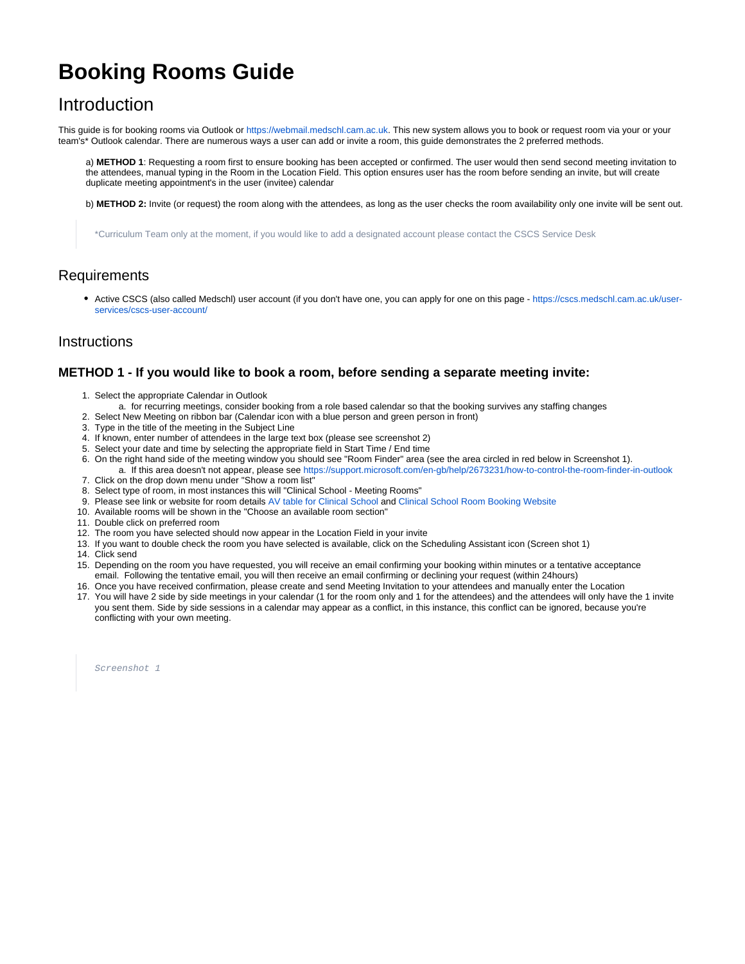# **Booking Rooms Guide**

### Introduction

This guide is for booking rooms via Outlook or [https://webmail.medschl.cam.ac.uk.](https://webmail.medschl.cam.ac.uk) This new system allows you to book or request room via your or your team's\* Outlook calendar. There are numerous ways a user can add or invite a room, this guide demonstrates the 2 preferred methods.

a) **METHOD 1**: Requesting a room first to ensure booking has been accepted or confirmed. The user would then send second meeting invitation to the attendees, manual typing in the Room in the Location Field. This option ensures user has the room before sending an invite, but will create duplicate meeting appointment's in the user (invitee) calendar

b) **METHOD 2:** Invite (or request) the room along with the attendees, as long as the user checks the room availability only one invite will be sent out.

\*Curriculum Team only at the moment, if you would like to add a designated account please contact the CSCS Service Desk

#### **Requirements**

• Active CSCS (also called Medschl) user account (if you don't have one, you can apply for one on this page - [https://cscs.medschl.cam.ac.uk/user](https://cscs.medschl.cam.ac.uk/user-services/cscs-user-account/)[services/cscs-user-account/](https://cscs.medschl.cam.ac.uk/user-services/cscs-user-account/)

#### **Instructions**

#### **METHOD 1 - If you would like to book a room, before sending a separate meeting invite:**

- 1. Select the appropriate Calendar in Outlook
- a. for recurring meetings, consider booking from a role based calendar so that the booking survives any staffing changes
- 2. Select New Meeting on ribbon bar (Calendar icon with a blue person and green person in front)
- 3. Type in the title of the meeting in the Subject Line
- 4. If known, enter number of attendees in the large text box (please see screenshot 2)
- 5. Select your date and time by selecting the appropriate field in Start Time / End time
- 6. On the right hand side of the meeting window you should see "Room Finder" area (see the area circled in red below in Screenshot 1). a. If this area doesn't not appear, please see <https://support.microsoft.com/en-gb/help/2673231/how-to-control-the-room-finder-in-outlook>
- 7. Click on the drop down menu under "Show a room list"
- 8. Select type of room, in most instances this will "Clinical School Meeting Rooms"
- 9. Please see link or website for room details [AV table for Clinical School](https://confluence.medschl.cam.ac.uk/pages/viewpage.action?pageId=29819537) and [Clinical School Room Booking Website](http://rooms.medschl.cam.ac.uk)
- 10. Available rooms will be shown in the "Choose an available room section"
- 11. Double click on preferred room
- 12. The room you have selected should now appear in the Location Field in your invite
- 13. If you want to double check the room you have selected is available, click on the Scheduling Assistant icon (Screen shot 1)
- 14. Click send
- 15. Depending on the room you have requested, you will receive an email confirming your booking within minutes or a tentative acceptance email. Following the tentative email, you will then receive an email confirming or declining your request (within 24hours)
- 16. Once you have received confirmation, please create and send Meeting Invitation to your attendees and manually enter the Location
- 17. You will have 2 side by side meetings in your calendar (1 for the room only and 1 for the attendees) and the attendees will only have the 1 invite you sent them. Side by side sessions in a calendar may appear as a conflict, in this instance, this conflict can be ignored, because you're conflicting with your own meeting.

Screenshot 1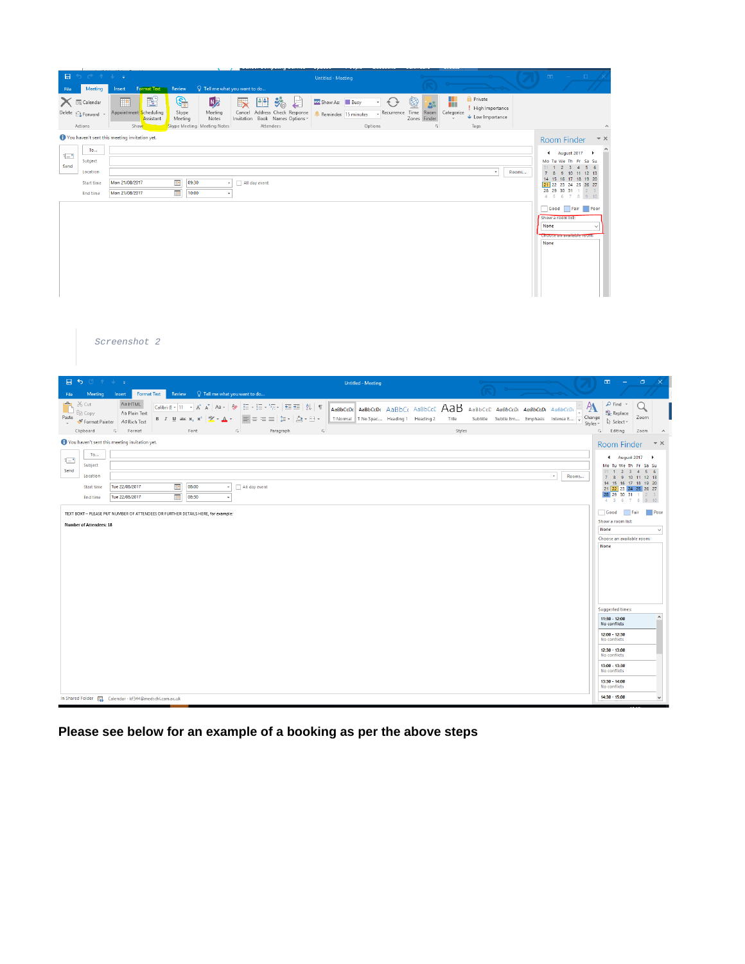| 日                                          |                                                                                  |                                                         |                                    |                               |                                                                                                                                                                                                                                                                                                                                                                                                                                                                                                                                                                                                          | <b>Untitled - Meeting</b> |                                                                                                        |                                                  |                 |                                                |       |                                                         |                                                                                                         |
|--------------------------------------------|----------------------------------------------------------------------------------|---------------------------------------------------------|------------------------------------|-------------------------------|----------------------------------------------------------------------------------------------------------------------------------------------------------------------------------------------------------------------------------------------------------------------------------------------------------------------------------------------------------------------------------------------------------------------------------------------------------------------------------------------------------------------------------------------------------------------------------------------------------|---------------------------|--------------------------------------------------------------------------------------------------------|--------------------------------------------------|-----------------|------------------------------------------------|-------|---------------------------------------------------------|---------------------------------------------------------------------------------------------------------|
| File<br>Meeting<br>Х<br><b>EQ</b> Calendar | Insert<br>99                                                                     | Format Text Review<br>Ľ<br><u>କ୍ର</u>                   | Q Tell me what you want to do<br>N | 별화<br>$\overline{\mathbf{x}}$ | $\ddot{v}_\text{\tiny Q}$                                                                                                                                                                                                                                                                                                                                                                                                                                                                                                                                                                                | ZZ Show As: Busy          | Ð<br>$\bigcirc$                                                                                        |                                                  |                 | <b>Private</b>                                 |       |                                                         |                                                                                                         |
|                                            | Appointment <mark>S</mark> cheduling                                             | Skype<br>Assistant<br>Meeting                           | Meeting<br>Notes                   |                               | $\leftarrow$<br>Cancel Address Check Response<br>Invitation Book Names Options -                                                                                                                                                                                                                                                                                                                                                                                                                                                                                                                         | - Reminder: 15 minutes    |                                                                                                        | <b>S</b><br>Recurrence Time Room<br>Zones Finder | W<br>Categorize | ! High Importance<br>$\bigstar$ Low Importance |       |                                                         |                                                                                                         |
| Actions                                    | Show                                                                             |                                                         | Skype Meeting Meeting Notes        |                               | Attendees                                                                                                                                                                                                                                                                                                                                                                                                                                                                                                                                                                                                |                           | Options                                                                                                | $\overline{12}$                                  |                 | Tags                                           |       |                                                         |                                                                                                         |
| To                                         | You haven't sent this meeting invitation yet.                                    |                                                         |                                    |                               |                                                                                                                                                                                                                                                                                                                                                                                                                                                                                                                                                                                                          |                           |                                                                                                        |                                                  |                 |                                                |       | Room Finder                                             | – ×<br>$\rightarrow$                                                                                    |
| ÷<br>Subject<br>Send                       |                                                                                  |                                                         |                                    |                               |                                                                                                                                                                                                                                                                                                                                                                                                                                                                                                                                                                                                          |                           |                                                                                                        |                                                  |                 |                                                |       | 4 August 2017<br>Mo Tu We Th Fr Sa Su<br>31 1 2 3 4 5 6 |                                                                                                         |
| Location                                   | Mon 21/08/2017                                                                   | <u>i e</u><br>09:30                                     |                                    | In All day event              |                                                                                                                                                                                                                                                                                                                                                                                                                                                                                                                                                                                                          |                           |                                                                                                        |                                                  |                 | $\star$                                        | Rooms | 7 8 9 10 11 12 13<br>14 15 16 17 18 19 20               |                                                                                                         |
| <b>Start time</b><br>End time              | Mon 21/08/2017                                                                   | $\mathbf{R}$<br>10:00                                   | $\bar{\star}$                      |                               |                                                                                                                                                                                                                                                                                                                                                                                                                                                                                                                                                                                                          |                           |                                                                                                        |                                                  |                 |                                                |       | 21 22 23 24 25 26 27<br>28 29 30 31 1<br>4 5 6 7 8 9 10 |                                                                                                         |
|                                            |                                                                                  |                                                         |                                    |                               |                                                                                                                                                                                                                                                                                                                                                                                                                                                                                                                                                                                                          |                           |                                                                                                        |                                                  |                 |                                                |       | Good Fair Poor                                          |                                                                                                         |
|                                            |                                                                                  |                                                         |                                    |                               |                                                                                                                                                                                                                                                                                                                                                                                                                                                                                                                                                                                                          |                           |                                                                                                        |                                                  |                 |                                                |       | Show a room list:<br>None                               | $\checkmark$                                                                                            |
|                                            |                                                                                  |                                                         |                                    |                               |                                                                                                                                                                                                                                                                                                                                                                                                                                                                                                                                                                                                          |                           |                                                                                                        |                                                  |                 |                                                |       | enoussean<br>None                                       |                                                                                                         |
|                                            |                                                                                  |                                                         |                                    |                               |                                                                                                                                                                                                                                                                                                                                                                                                                                                                                                                                                                                                          |                           |                                                                                                        |                                                  |                 |                                                |       |                                                         |                                                                                                         |
|                                            |                                                                                  |                                                         |                                    |                               |                                                                                                                                                                                                                                                                                                                                                                                                                                                                                                                                                                                                          |                           |                                                                                                        |                                                  |                 |                                                |       |                                                         |                                                                                                         |
|                                            |                                                                                  |                                                         |                                    |                               |                                                                                                                                                                                                                                                                                                                                                                                                                                                                                                                                                                                                          |                           |                                                                                                        |                                                  |                 |                                                |       |                                                         |                                                                                                         |
|                                            |                                                                                  |                                                         |                                    |                               |                                                                                                                                                                                                                                                                                                                                                                                                                                                                                                                                                                                                          |                           |                                                                                                        |                                                  |                 |                                                |       |                                                         |                                                                                                         |
|                                            |                                                                                  |                                                         |                                    |                               |                                                                                                                                                                                                                                                                                                                                                                                                                                                                                                                                                                                                          |                           |                                                                                                        |                                                  |                 |                                                |       |                                                         |                                                                                                         |
|                                            |                                                                                  |                                                         |                                    |                               |                                                                                                                                                                                                                                                                                                                                                                                                                                                                                                                                                                                                          |                           |                                                                                                        |                                                  |                 |                                                |       |                                                         |                                                                                                         |
|                                            | Screenshot 2                                                                     |                                                         |                                    |                               |                                                                                                                                                                                                                                                                                                                                                                                                                                                                                                                                                                                                          |                           |                                                                                                        |                                                  |                 |                                                |       |                                                         |                                                                                                         |
|                                            |                                                                                  |                                                         |                                    |                               |                                                                                                                                                                                                                                                                                                                                                                                                                                                                                                                                                                                                          |                           |                                                                                                        |                                                  |                 |                                                |       |                                                         |                                                                                                         |
|                                            |                                                                                  |                                                         |                                    |                               |                                                                                                                                                                                                                                                                                                                                                                                                                                                                                                                                                                                                          |                           |                                                                                                        |                                                  |                 |                                                |       |                                                         |                                                                                                         |
| E                                          |                                                                                  |                                                         |                                    |                               |                                                                                                                                                                                                                                                                                                                                                                                                                                                                                                                                                                                                          |                           |                                                                                                        |                                                  |                 |                                                |       |                                                         |                                                                                                         |
|                                            |                                                                                  |                                                         |                                    |                               |                                                                                                                                                                                                                                                                                                                                                                                                                                                                                                                                                                                                          |                           | <b>Untitled - Meeting</b>                                                                              |                                                  |                 |                                                |       |                                                         | $\boxplus$<br>Ō.                                                                                        |
| Meeting<br>File                            |                                                                                  | Insert Format Text Review Q Tell me what you want to do |                                    |                               |                                                                                                                                                                                                                                                                                                                                                                                                                                                                                                                                                                                                          |                           |                                                                                                        |                                                  |                 |                                                |       |                                                         |                                                                                                         |
| X Cut<br>lin Copy<br>Paste                 | Aa HTML<br>Aa Plain Text                                                         | Calibri (E $\div$ 11 $\div$ A A                         |                                    |                               | Aa - 2 三 · 三 · 气 · 三 三 2 组                                                                                                                                                                                                                                                                                                                                                                                                                                                                                                                                                                               |                           | $A$ aBbCcDc $A$ aBbCcDc $A$ aBbCc $A$ aBbCcC $A$ aBbCcC $A$ aBbCcC $A$ aBbCcDc $A$ aBbCcDc $A$ aBbCcDc |                                                  |                 |                                                |       |                                                         | $\rho$ Find $\sim$<br>Q<br>A<br>ab Replace<br>Change<br>Zoom                                            |
| Format Painter<br>Clipboard                | Aa Rich Text<br>$\overline{u}$<br>Format                                         | B I U<br>abc X,<br>Font                                 | $\mathbf A$                        | $\sqrt{2}$                    | $\equiv \equiv \equiv  \mathop{\mathop{\mathrm{I\mathop{\scriptstyle\mathop{\mathrm{I\mathop{\scriptstyle\mathop{\mathrm{I\mathop{\scriptstyle\mathop{\mathrm{I\mathop{\mathrm{I\mathop{\mathrm{I\mathop{\mathrm{I\mathop{\mathrm{I\mathop{\mathrm{I\mathop{\mathrm{I\mathop{\mathrm{I\mathop{\mathrm{I\mathop{\mathrm{I\mathop{\mathrm{II\mathop{\mathrm{I\mathop{\mathrm{I\mathop{\mathrm{II\mathop{\mathrm{I\mathop{\mathrm{II\mathop{\mathrm{II\mathop{\mathrm{II\mathop{\mathrm{II\mathop{\mathrm{II\mathop{\mathrm{II\mathop{\mathrm{II\mathop{\mathrm{II\mathop{\mathrm{II\mathop{\$<br>Paragraph |                           | 1 Normal   1 No Spac Heading 1 Heading 2                                                               |                                                  | Title<br>Styles | Subtitle Subtle Em Emphasis Intense E          |       |                                                         | ☆ Select -<br>Styles *<br>Editing<br>$\overline{\mathfrak{r}_{\mathsf{M}}}$ .<br>Zoom                   |
|                                            | You haven't sent this meeting invitation yet.                                    |                                                         |                                    |                               |                                                                                                                                                                                                                                                                                                                                                                                                                                                                                                                                                                                                          |                           |                                                                                                        |                                                  |                 |                                                |       |                                                         | Room Finder                                                                                             |
| To                                         |                                                                                  |                                                         |                                    |                               |                                                                                                                                                                                                                                                                                                                                                                                                                                                                                                                                                                                                          |                           |                                                                                                        |                                                  |                 |                                                |       |                                                         | 4 August 2017<br>$\;$                                                                                   |
| $\equiv$<br>Subject<br>Send                |                                                                                  |                                                         |                                    |                               |                                                                                                                                                                                                                                                                                                                                                                                                                                                                                                                                                                                                          |                           |                                                                                                        |                                                  |                 |                                                |       |                                                         | Mo Tu We Th Fr Sa Su<br>31 1 2 3 4 5 6                                                                  |
| Location<br><b>Start time</b>              | Tue 22/08/2017                                                                   | $\overline{\phantom{a}}$<br>08:00                       | $\sim$                             | All day event                 |                                                                                                                                                                                                                                                                                                                                                                                                                                                                                                                                                                                                          |                           |                                                                                                        |                                                  |                 |                                                |       | $\star$<br>Rooms                                        | $7 \quad 8 \quad 9 \quad 10 \quad 11 \quad 12 \quad 13$<br>14 15 16 17 18 19 20<br>21 22 23 24 25 26 27 |
| <b>End time</b>                            | Tue 22/08/2017                                                                   | $\mathbf{R}$<br>08:30                                   | $\downarrow$                       |                               |                                                                                                                                                                                                                                                                                                                                                                                                                                                                                                                                                                                                          |                           |                                                                                                        |                                                  |                 |                                                |       |                                                         | 28 29 30 31<br>$\overline{7}$<br>6<br>8<br>$\overline{4}$<br>-5                                         |
|                                            | TEXT BOXT - PLEASE PUT NUMBER OF ATTENDEES OR FURTHER DETAILS HERE, for example: |                                                         |                                    |                               |                                                                                                                                                                                                                                                                                                                                                                                                                                                                                                                                                                                                          |                           |                                                                                                        |                                                  |                 |                                                |       |                                                         | Good Fair<br>Poor                                                                                       |
| Number of Attendees: 18                    |                                                                                  |                                                         |                                    |                               |                                                                                                                                                                                                                                                                                                                                                                                                                                                                                                                                                                                                          |                           |                                                                                                        |                                                  |                 |                                                |       |                                                         | Show a room list:<br>None                                                                               |
|                                            |                                                                                  |                                                         |                                    |                               |                                                                                                                                                                                                                                                                                                                                                                                                                                                                                                                                                                                                          |                           |                                                                                                        |                                                  |                 |                                                |       |                                                         | Choose an available room:<br>None                                                                       |
|                                            |                                                                                  |                                                         |                                    |                               |                                                                                                                                                                                                                                                                                                                                                                                                                                                                                                                                                                                                          |                           |                                                                                                        |                                                  |                 |                                                |       |                                                         |                                                                                                         |
|                                            |                                                                                  |                                                         |                                    |                               |                                                                                                                                                                                                                                                                                                                                                                                                                                                                                                                                                                                                          |                           |                                                                                                        |                                                  |                 |                                                |       |                                                         |                                                                                                         |
|                                            |                                                                                  |                                                         |                                    |                               |                                                                                                                                                                                                                                                                                                                                                                                                                                                                                                                                                                                                          |                           |                                                                                                        |                                                  |                 |                                                |       |                                                         |                                                                                                         |
|                                            |                                                                                  |                                                         |                                    |                               |                                                                                                                                                                                                                                                                                                                                                                                                                                                                                                                                                                                                          |                           |                                                                                                        |                                                  |                 |                                                |       |                                                         |                                                                                                         |
|                                            |                                                                                  |                                                         |                                    |                               |                                                                                                                                                                                                                                                                                                                                                                                                                                                                                                                                                                                                          |                           |                                                                                                        |                                                  |                 |                                                |       |                                                         | <b>Suggested times:</b>                                                                                 |
|                                            |                                                                                  |                                                         |                                    |                               |                                                                                                                                                                                                                                                                                                                                                                                                                                                                                                                                                                                                          |                           |                                                                                                        |                                                  |                 |                                                |       |                                                         | $11:30 - 12:00$<br>No conflicts                                                                         |
|                                            |                                                                                  |                                                         |                                    |                               |                                                                                                                                                                                                                                                                                                                                                                                                                                                                                                                                                                                                          |                           |                                                                                                        |                                                  |                 |                                                |       |                                                         | 12:00 - 12:30<br>No conflicts                                                                           |
|                                            |                                                                                  |                                                         |                                    |                               |                                                                                                                                                                                                                                                                                                                                                                                                                                                                                                                                                                                                          |                           |                                                                                                        |                                                  |                 |                                                |       |                                                         | $12:30 - 13:00$<br>No conflicts                                                                         |
|                                            |                                                                                  |                                                         |                                    |                               |                                                                                                                                                                                                                                                                                                                                                                                                                                                                                                                                                                                                          |                           |                                                                                                        |                                                  |                 |                                                |       |                                                         | 13:00 - 13:30                                                                                           |
|                                            |                                                                                  |                                                         |                                    |                               |                                                                                                                                                                                                                                                                                                                                                                                                                                                                                                                                                                                                          |                           |                                                                                                        |                                                  |                 |                                                |       |                                                         | No conflicts<br>13:30 - 14:00<br>No conflicts                                                           |

**Please see below for an example of a booking as per the above steps**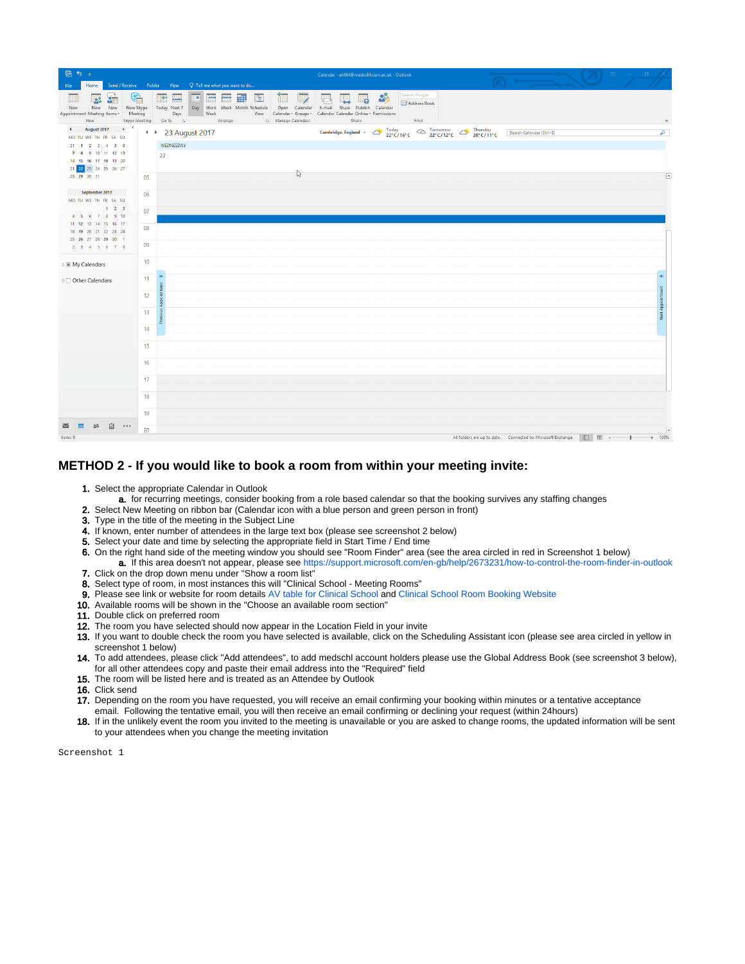| 眉ちょ                                                                                                                  |          |                                               |      |                                                                                                                                                                      |                                                                                             |   | Calendar - ah964@medschl.cam.ac.uk - Outlook                                                                                                                                                                                                 |    |               |                                       |  |  |                                                              |     | $\overline{\Xi}$ |                  |                          |
|----------------------------------------------------------------------------------------------------------------------|----------|-----------------------------------------------|------|----------------------------------------------------------------------------------------------------------------------------------------------------------------------|---------------------------------------------------------------------------------------------|---|----------------------------------------------------------------------------------------------------------------------------------------------------------------------------------------------------------------------------------------------|----|---------------|---------------------------------------|--|--|--------------------------------------------------------------|-----|------------------|------------------|--------------------------|
| File<br>Home<br>G,<br>$2\pi$<br>焁<br>New New<br>New<br>Appointment Meeting Items ~ Meeting<br>New                    |          | <b>BC WA</b><br>Days<br>Skype Meeting Go To G | Week | Send / Receive Folder View Q Tell me what you want to do<br>▥▥▥▥▮<br>New Skype Today Next 7 Day Work Week Month Schedule Open Calendar E-mail Share Publish Calendar | $\mathbb{R}$<br><b>P</b><br>View Calendar v Groups v Calendar Calendar Online v Permissions | 倡 | Share                                                                                                                                                                                                                                        | ⊫ை | $\frac{3}{2}$ | Search People<br>Address Book<br>Find |  |  |                                                              |     |                  |                  |                          |
| August 2017 $\longrightarrow$<br>$\blacktriangleleft$<br>MO TU WE TH FR SA SU<br>31 1 2 3 4 5 6<br>7 8 9 10 11 12 13 |          | + → 23 August 2017<br>WEDNESDAY<br>23         |      |                                                                                                                                                                      |                                                                                             |   | Cambridge, England - $\bigotimes^{\text{Today}}_{22^{\circ}C/16^{\circ}C} \bigotimes^{\text{Tomorrow}}_{22^{\circ}C/12^{\circ}C} \bigotimes^{\text{Thursday}}_{20^{\circ}C/11^{\circ}C} \bigotimes^{\text{Search Calendar}(\text{Ctrl} + E)$ |    |               |                                       |  |  |                                                              |     |                  |                  | م                        |
| 14 15 16 17 18 19 20<br>21 22 23 24 25 26 27<br>28 29 30 31<br>September 2017                                        | 05       |                                               |      |                                                                                                                                                                      | じ                                                                                           |   |                                                                                                                                                                                                                                              |    |               |                                       |  |  |                                                              |     |                  |                  | $\blacksquare$           |
| MO TU WE TH FR SA SU<br>123<br>4 5 6 7 8 9 10<br>11 12 13 14 15 16 17                                                | 06<br>07 |                                               |      |                                                                                                                                                                      |                                                                                             |   |                                                                                                                                                                                                                                              |    |               |                                       |  |  |                                                              |     |                  |                  |                          |
| 18 19 20 21 22 23 24<br>25 26 27 28 29 30 1<br>$2$ 3 4 5 6 7 8                                                       | 08<br>09 |                                               |      |                                                                                                                                                                      |                                                                                             |   |                                                                                                                                                                                                                                              |    |               |                                       |  |  |                                                              |     |                  |                  |                          |
| $\triangleright \blacksquare$ My Calendars<br>▷ □ Other Calendars                                                    | 10<br>11 |                                               |      |                                                                                                                                                                      |                                                                                             |   |                                                                                                                                                                                                                                              |    |               |                                       |  |  |                                                              |     |                  |                  |                          |
|                                                                                                                      | 12<br>13 | Ë<br>Appo<br><b>DUS</b>                       |      |                                                                                                                                                                      |                                                                                             |   |                                                                                                                                                                                                                                              |    |               |                                       |  |  |                                                              |     |                  | Next Appointment |                          |
|                                                                                                                      | 14       |                                               |      |                                                                                                                                                                      |                                                                                             |   |                                                                                                                                                                                                                                              |    |               |                                       |  |  |                                                              |     |                  |                  |                          |
|                                                                                                                      | 15<br>16 |                                               |      |                                                                                                                                                                      |                                                                                             |   |                                                                                                                                                                                                                                              |    |               |                                       |  |  |                                                              |     |                  |                  |                          |
|                                                                                                                      | 17<br>18 |                                               |      |                                                                                                                                                                      |                                                                                             |   |                                                                                                                                                                                                                                              |    |               |                                       |  |  |                                                              |     |                  |                  |                          |
| 囟<br>$\cdots$                                                                                                        | 19<br>20 |                                               |      |                                                                                                                                                                      |                                                                                             |   |                                                                                                                                                                                                                                              |    |               |                                       |  |  |                                                              |     |                  |                  | $\overline{\phantom{a}}$ |
| Items: 0                                                                                                             |          |                                               |      |                                                                                                                                                                      |                                                                                             |   |                                                                                                                                                                                                                                              |    |               |                                       |  |  | All folders are up to date. Connected to: Microsoft Exchange | □ 图 | $\sim$ $-$       |                  | 100%                     |

#### **METHOD 2 - If you would like to book a room from within your meeting invite:**

- 1. Select the appropriate Calendar in Outlook
- a. for recurring meetings, consider booking from a role based calendar so that the booking survives any staffing changes
- 2. Select New Meeting on ribbon bar (Calendar icon with a blue person and green person in front)
- 3. Type in the title of the meeting in the Subject Line
- 4. If known, enter number of attendees in the large text box (please see screenshot 2 below)
- **5.** Select your date and time by selecting the appropriate field in Start Time / End time
- 6. On the right hand side of the meeting window you should see "Room Finder" area (see the area circled in red in Screenshot 1 below)
- a. If this area doesn't not appear, please see <https://support.microsoft.com/en-gb/help/2673231/how-to-control-the-room-finder-in-outlook> 7. Click on the drop down menu under "Show a room list"
- 8. Select type of room, in most instances this will "Clinical School Meeting Rooms"
- 9. Please see link or website for room details [AV table for Clinical School](https://confluence.medschl.cam.ac.uk/pages/viewpage.action?pageId=29819537) and [Clinical School Room Booking Website](http://rooms.medschl.cam.ac.uk)
- 10. Available rooms will be shown in the "Choose an available room section"
- 11. Double click on preferred room
- 12. The room you have selected should now appear in the Location Field in your invite
- 13. If you want to double check the room you have selected is available, click on the Scheduling Assistant icon (please see area circled in yellow in screenshot 1 below)
- 14. To add attendees, please click "Add attendees", to add medschl account holders please use the Global Address Book (see screenshot 3 below), for all other attendees copy and paste their email address into the "Required" field
- 15. The room will be listed here and is treated as an Attendee by Outlook
- 16. Click send
- 17. Depending on the room you have requested, you will receive an email confirming your booking within minutes or a tentative acceptance email. Following the tentative email, you will then receive an email confirming or declining your request (within 24hours)
- 18. If in the unlikely event the room you invited to the meeting is unavailable or you are asked to change rooms, the updated information will be sent to your attendees when you change the meeting invitation

Screenshot 1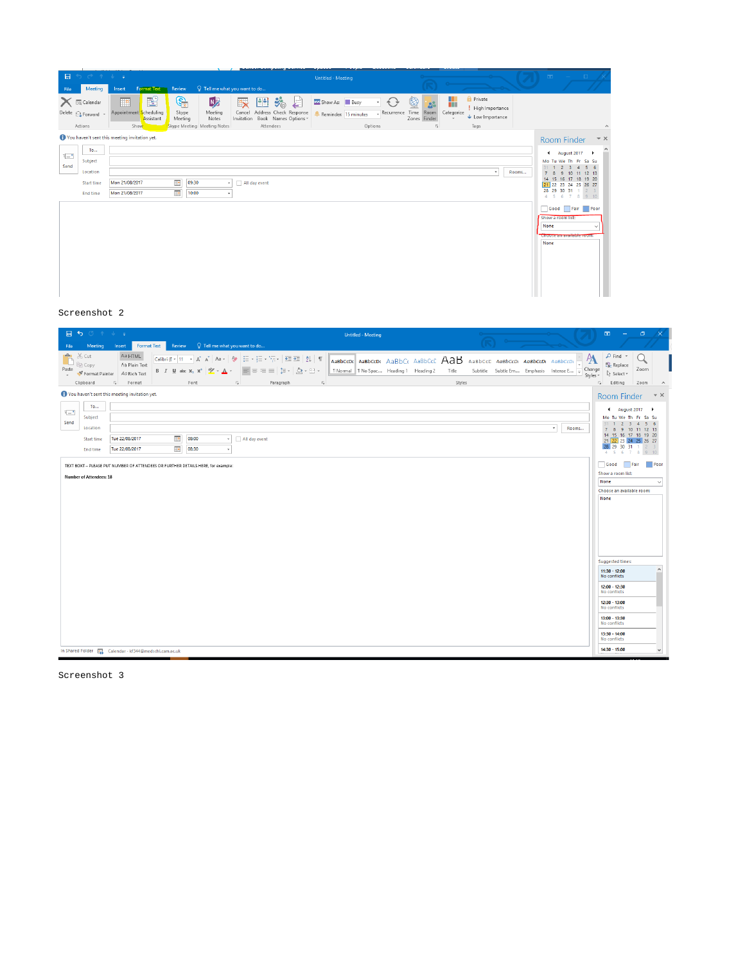| $\mathbf{H}$ | $\begin{array}{ccccccccccccccccc} \circ & \circ & \circ & \circ & \circ & \circ & \circ & \circ \end{array}$ |                                                         |                                                            |                                                    |                                                                                                                      | <b>Untitled - Meeting</b>                |         |                               |                                                             |                                                                         |       | $\mathbb{R}$ and $\mathbb{R}$ and $\mathbb{R}$                             |                                                                                                                                                                                    | $\rightarrow$ $\times$ |
|--------------|--------------------------------------------------------------------------------------------------------------|---------------------------------------------------------|------------------------------------------------------------|----------------------------------------------------|----------------------------------------------------------------------------------------------------------------------|------------------------------------------|---------|-------------------------------|-------------------------------------------------------------|-------------------------------------------------------------------------|-------|----------------------------------------------------------------------------|------------------------------------------------------------------------------------------------------------------------------------------------------------------------------------|------------------------|
| File         | Meeting                                                                                                      | Format Text<br>Insert                                   | Review                                                     | $Q$ Tell me what you want to do                    |                                                                                                                      |                                          |         |                               |                                                             |                                                                         |       |                                                                            |                                                                                                                                                                                    |                        |
|              | <b>X</b> EQ Calendar<br>Delete <sub>Q</sub> Forward *<br>Actions                                             | ES<br>٣ē<br>Appointment Scheduling<br>Assistant<br>Show | G,<br>Skype<br>Meeting<br>Skype Meeting Meeting Notes      | <b>N<sub>2</sub></b><br>Meeting<br>Cancel<br>Notes | 图<br>$\ddot{\mathbf{v}}_{\mathbf{0}}$<br>E<br>Address Check Response<br>Invitation Book Names Options v<br>Attendees | ZZ Show As: Busy<br>Reminder: 15 minutes | Options | q<br>$\sqrt{2}$<br>Recurrence | ш<br>Time Room<br>Categorize<br>Zones Finder<br>$E_{\rm H}$ | <b>A</b> Private<br>High Importance<br>$\bigcup$ Low Importance<br>Tags |       |                                                                            |                                                                                                                                                                                    | ۸                      |
|              |                                                                                                              | You haven't sent this meeting invitation yet.           |                                                            |                                                    |                                                                                                                      |                                          |         |                               |                                                             |                                                                         |       | Room Finder                                                                |                                                                                                                                                                                    | $- \times$             |
| i-'<br>Send  | To<br>Subject<br>Location<br><b>Start time</b><br>End time                                                   | Mon 21/08/2017<br>Mon 21/08/2017                        | $\mathbf{p}$<br>09:30<br>$\overline{\phantom{a}}$<br>10:00 | All day event                                      |                                                                                                                      |                                          |         |                               |                                                             | ÷                                                                       | Rooms | $31 - 1$<br>Show a room list:<br>None<br>Choose an available room.<br>None | 4 August 2017 ▶<br>Mo Tu We Th Fr Sa Su<br>2 3 4 5 6<br>7 8 9 10 11 12 13<br>14 15 16 17 18 19 20<br>21 22 23 24 25 26 27<br>28 29 30 31 1 2 3<br>4 5 6 7 8 9 10<br>Good Fair Poor | ۸                      |

#### Screenshot 2

| 日 ち び ホ ま ま<br><b>Untitled - Meeting</b><br>Q Tell me what you want to do<br>Format Text<br>Meeting<br>Review<br>File<br>Insert                                                                                                                                                                                                                                                                                                                                                                                                                                                              | 固<br>$\sigma$<br>$\propto$                                                                                                                                                                                                                                                                                                                      |
|----------------------------------------------------------------------------------------------------------------------------------------------------------------------------------------------------------------------------------------------------------------------------------------------------------------------------------------------------------------------------------------------------------------------------------------------------------------------------------------------------------------------------------------------------------------------------------------------|-------------------------------------------------------------------------------------------------------------------------------------------------------------------------------------------------------------------------------------------------------------------------------------------------------------------------------------------------|
| Ê<br>X Cut<br>Aa HTML<br>A<br>Calibri (E ▼ 11 → A* A*   Aa ▼   ◆   田 → 田 → 阳 →   亜   亜   2↓    ¶<br>AaBbCcDc AaBbCcDc AaBbCc AaBbCcE AaB<br>AaBbCcD AaBbCcDt AaBbCcDt AaBbCcDt<br>Aa Plain Text<br>图 Copy<br>Change<br>Paste<br> 퇴동병보  15시스 - 또 -<br>1 Normal   1 No Spac Heading 1 Heading 2<br>Title<br>Subtitle Subtle Em Emphasis Intense E<br>$B$ $I$ $U$ abc $X$ , $X^2$<br>Format Painter<br>Aa Rich Text<br>$\rightarrow$<br>Styles -<br>Styles<br>Clipboard<br>$\overline{\mathbb{F}_M}$ .<br>Format<br>Font<br>$\overline{\mathbb{Q}}$ .<br>$\overline{\mathbb{Q}}$ .<br>Paragraph | $\rho$ Find $\sim$<br>ab Replace<br>Zoom<br>☆ Select *<br>$\overline{\mathbb{F}_M}$ .<br>Editing<br>Zoom<br>$\wedge$                                                                                                                                                                                                                            |
| You haven't sent this meeting invitation yet.<br>To<br>t<br>Subject<br>Send<br>Location<br>Rooms<br>٠<br>$\frac{1}{2}$<br>08:00<br>Tue 22/08/2017<br>All day event<br>Start time<br>$\overline{\phantom{a}}$<br>Tue 22/08/2017<br>08:30<br><b>End time</b><br>TEXT BOXT - PLEASE PUT NUMBER OF ATTENDEES OR FURTHER DETAILS HERE, for example;<br>Number of Attendees: 18                                                                                                                                                                                                                    | $- \times$<br><b>Room Finder</b><br>◀ August 2017 ▶<br>Mo Tu We Th Fr Sa Su<br>$3 \quad 4 \quad 5 \quad 6$<br>$31 \t1 \t2$<br>7 8 9 10 11 12 13<br>14 15 16 17 18 19 20<br>21 22 23 24 25 26 27<br>28 29 30 31 1 2 3<br>4 5 6 7 8 9 10<br>Good<br>Fair<br>Poor<br>Show a room list:<br>None<br>$\check{~}$<br>Choose an available room:<br>None |
| In Shared Folder Following Calendar - kf344@medschl.cam.ac.uk                                                                                                                                                                                                                                                                                                                                                                                                                                                                                                                                | Suggested times:<br>۸<br>$11:30 - 12:00$<br>No conflicts<br>12:00 - 12:30<br>No conflicts<br>$12:30 - 13:00$<br>No conflicts<br>13:00 - 13:30<br>No conflicts<br>13:30 - 14:00<br>No conflicts<br>$14:30 - 15:00$<br>$\checkmark$                                                                                                               |

Screenshot 3